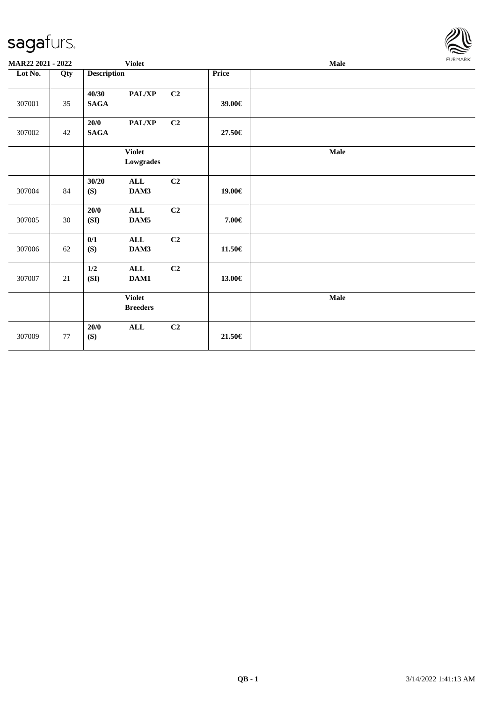

| MAR22 2021 - 2022 |        |                      | <b>Violet</b>                    |    |             | <b>Male</b> |  |  |  |  |
|-------------------|--------|----------------------|----------------------------------|----|-------------|-------------|--|--|--|--|
| Lot No.           | Qty    | <b>Description</b>   |                                  |    | Price       |             |  |  |  |  |
| 307001            | 35     | 40/30<br><b>SAGA</b> | PAL/XP                           | C2 | 39.00€      |             |  |  |  |  |
| 307002            | 42     | 20/0<br><b>SAGA</b>  | $\mathbf{PAL}/\mathbf{XP}$       | C2 | 27.50€      |             |  |  |  |  |
|                   |        |                      | <b>Violet</b><br>Lowgrades       |    |             | <b>Male</b> |  |  |  |  |
| 307004            | 84     | 30/20<br>(S)         | ALL<br>DAM3                      | C2 | 19.00€      |             |  |  |  |  |
| 307005            | 30     | $20/0$<br>(SI)       | ALL<br>DAM5                      | C2 | 7.00€       |             |  |  |  |  |
| 307006            | 62     | 0/1<br>(S)           | $\mathbf{ALL}$<br>DAM3           | C2 | $11.50\in$  |             |  |  |  |  |
| 307007            | 21     | $1/2$<br>(SI)        | $\mathbf{ALL}$<br>DAM1           | C2 | 13.00€      |             |  |  |  |  |
|                   |        |                      | <b>Violet</b><br><b>Breeders</b> |    |             | Male        |  |  |  |  |
| 307009            | $77\,$ | $20/0$<br>(S)        | $\mathbf{ALL}$                   | C2 | $21.50 \in$ |             |  |  |  |  |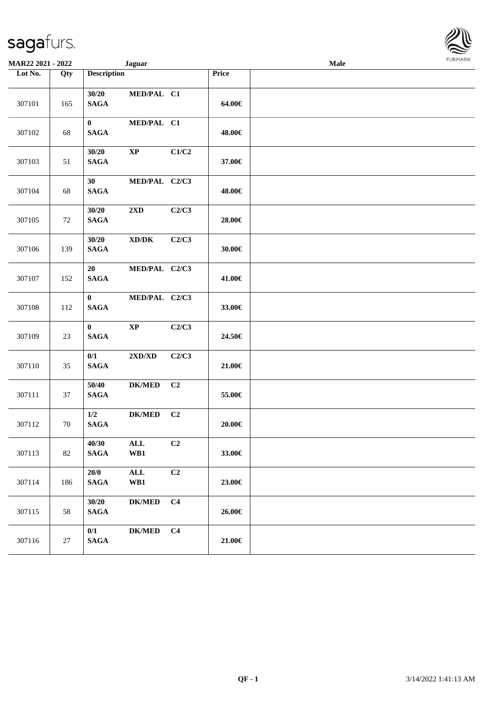| <b>MAR22 2021 - 2022</b> |     | <b>Jaguar</b>                                               |                               | Male |
|--------------------------|-----|-------------------------------------------------------------|-------------------------------|------|
| Lot No.                  | Qty | <b>Description</b>                                          | Price                         |      |
| 307101                   | 165 | 30/20<br>MED/PAL C1<br><b>SAGA</b>                          | 64.00€                        |      |
| 307102                   | 68  | $\bf{0}$<br>MED/PAL C1<br><b>SAGA</b>                       | 48.00€                        |      |
| 307103                   | 51  | 30/20<br>$\mathbf{XP}$<br><b>SAGA</b>                       | C1/C2<br>37.00€               |      |
| 307104                   | 68  | MED/PAL C2/C3<br>30<br><b>SAGA</b>                          | 48.00€                        |      |
| 307105                   | 72  | 30/20<br>$2\mathbf{X}\mathbf{D}$<br><b>SAGA</b>             | C2/C3<br>28.00€               |      |
| 307106                   | 139 | 30/20<br>$\bold{X}\bold{D}/\bold{D}\bold{K}$<br><b>SAGA</b> | C2/C3<br>30.00€               |      |
| 307107                   | 152 | 20<br>MED/PAL C2/C3<br><b>SAGA</b>                          | 41.00€                        |      |
| 307108                   | 112 | $\bf{0}$<br>MED/PAL C2/C3<br><b>SAGA</b>                    | 33.00€                        |      |
| 307109                   | 23  | $\bf{0}$<br>$\bold{XP}$<br><b>SAGA</b>                      | C2/C3<br>24.50€               |      |
| 307110                   | 35  | 0/1<br>$2{\bf X}{\bf D}/{\bf X}{\bf D}$<br>$\mathbf{SAGA}$  | C2/C3<br>21.00€               |      |
| 307111                   | 37  | 50/40<br><b>DK/MED</b><br><b>SAGA</b>                       | C <sub>2</sub><br>55.00€      |      |
| 307112                   | 70  | 1/2<br><b>DK/MED</b><br>$\mathbf{SAGA}$                     | C <sub>2</sub><br>$20.00 \in$ |      |
| 307113                   | 82  | 40/30<br>$\mathbf{ALL}$<br><b>SAGA</b><br>WB1               | C2<br>33.00€                  |      |
| 307114                   | 186 | 20/0<br>$\mathbf{ALL}$<br><b>SAGA</b><br>WB1                | C2<br>23.00€                  |      |
| 307115                   | 58  | 30/20<br>$DK/MED$<br><b>SAGA</b>                            | C <sub>4</sub><br>26.00€      |      |
| 307116                   | 27  | 0/1<br>$DK/MED$<br>$\mathbf{SAGA}$                          | C <sub>4</sub><br>21.00€      |      |

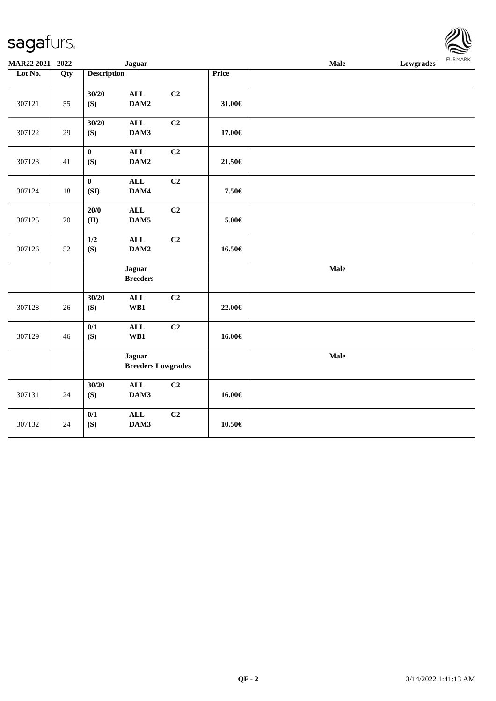| MAR22 2021 - 2022 |        |                     | <b>Jaguar</b>                              |                |        | Male | 1.91111111<br>Lowgrades |
|-------------------|--------|---------------------|--------------------------------------------|----------------|--------|------|-------------------------|
| Lot No.           | Qty    | <b>Description</b>  |                                            |                | Price  |      |                         |
| 307121            | 55     | 30/20<br>(S)        | <b>ALL</b><br>DAM2                         | C <sub>2</sub> | 31.00€ |      |                         |
| 307122            | 29     | 30/20<br>(S)        | <b>ALL</b><br>DAM3                         | C2             | 17.00€ |      |                         |
| 307123            | 41     | $\mathbf{0}$<br>(S) | $\mathbf{ALL}$<br>DAM2                     | C2             | 21.50€ |      |                         |
| 307124            | $18\,$ | $\pmb{0}$<br>(SI)   | $\mathbf{ALL}$<br>DAM4                     | C2             | 7.50€  |      |                         |
| 307125            | 20     | $20/0$<br>(II)      | <b>ALL</b><br>DAM5                         | C <sub>2</sub> | 5.00€  |      |                         |
| 307126            | 52     | $1/2$<br>(S)        | <b>ALL</b><br>DAM2                         | C2             | 16.50€ |      |                         |
|                   |        |                     | <b>Jaguar</b><br><b>Breeders</b>           |                |        | Male |                         |
| 307128            | $26\,$ | 30/20<br>(S)        | $\mathbf{ALL}$<br>WB1                      | C2             | 22.00€ |      |                         |
| 307129            | 46     | 0/1<br>(S)          | $\mathbf{ALL}$<br>WB1                      | C2             | 16.00€ |      |                         |
|                   |        |                     | <b>Jaguar</b><br><b>Breeders Lowgrades</b> |                |        | Male |                         |
| 307131            | 24     | 30/20<br>(S)        | <b>ALL</b><br>DAM3                         | C2             | 16.00€ |      |                         |
| 307132            | 24     | 0/1<br>(S)          | <b>ALL</b><br>DAM3                         | C <sub>2</sub> | 10.50€ |      |                         |

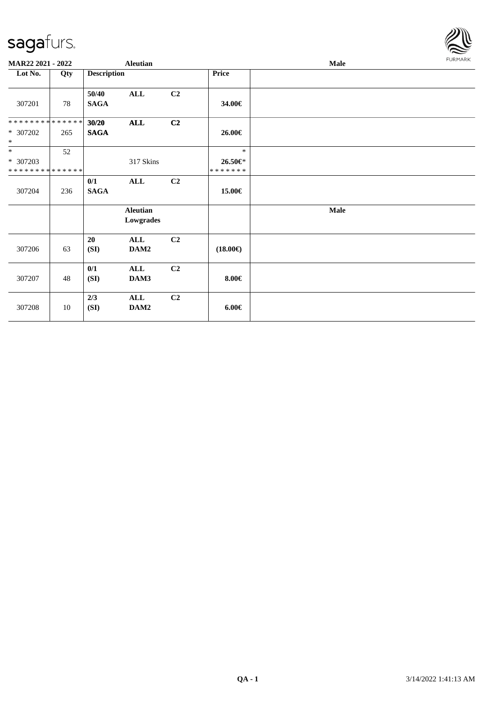

| MAR22 2021 - 2022                    |     |                      | <b>Aleutian</b>              |                |                                  | Male        | <b>FURMARK</b> |
|--------------------------------------|-----|----------------------|------------------------------|----------------|----------------------------------|-------------|----------------|
| Lot No.                              | Qty | <b>Description</b>   |                              |                | Price                            |             |                |
| 307201                               | 78  | 50/40<br><b>SAGA</b> | <b>ALL</b>                   | C <sub>2</sub> | 34.00€                           |             |                |
| **************<br>* 307202<br>$\ast$ | 265 | 30/20<br><b>SAGA</b> | $\mathbf{ALL}$               | C2             | 26.00€                           |             |                |
| $\ast$<br>* 307203<br>************** | 52  |                      | 317 Skins                    |                | $\ast$<br>$26.50 \in$<br>******* |             |                |
| 307204                               | 236 | 0/1<br><b>SAGA</b>   | ALL                          | C2             | 15.00€                           |             |                |
|                                      |     |                      | <b>Aleutian</b><br>Lowgrades |                |                                  | <b>Male</b> |                |
| 307206                               | 63  | 20<br>(SI)           | ALL<br>DAM2                  | C <sub>2</sub> | $(18.00\epsilon)$                |             |                |
| 307207                               | 48  | 0/1<br>(SI)          | <b>ALL</b><br>DAM3           | C <sub>2</sub> | $8.00 \in$                       |             |                |
| 307208                               | 10  | 2/3<br>(SI)          | <b>ALL</b><br>DAM2           | C <sub>2</sub> | $6.00 \in$                       |             |                |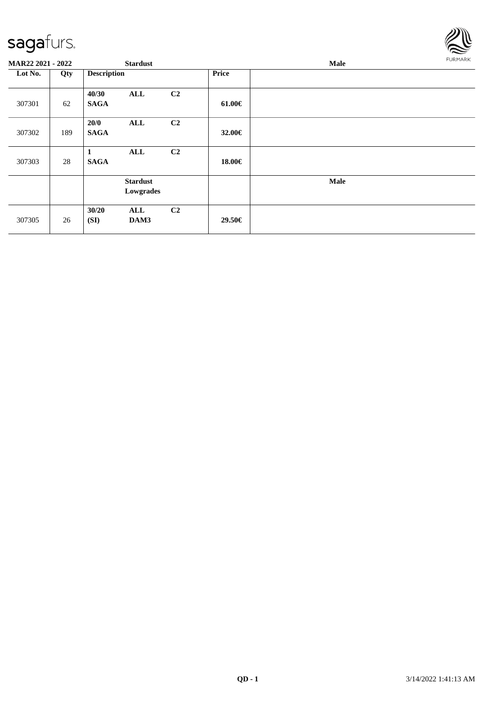

| MAR22 2021 - 2022 |     | <b>Stardust</b>      |                              |                |             | Male |  |  |
|-------------------|-----|----------------------|------------------------------|----------------|-------------|------|--|--|
| Lot No.           | Qty | <b>Description</b>   |                              |                | Price       |      |  |  |
| 307301            | 62  | 40/30<br><b>SAGA</b> | ALL                          | C2             | $61.00 \in$ |      |  |  |
| 307302            | 189 | 20/0<br><b>SAGA</b>  | <b>ALL</b>                   | C2             | 32.00€      |      |  |  |
| 307303            | 28  | 1<br><b>SAGA</b>     | <b>ALL</b>                   | C <sub>2</sub> | 18.00€      |      |  |  |
|                   |     |                      | <b>Stardust</b><br>Lowgrades |                |             | Male |  |  |
| 307305            | 26  | 30/20<br>(SI)        | <b>ALL</b><br>DAM3           | C <sub>2</sub> | 29.50€      |      |  |  |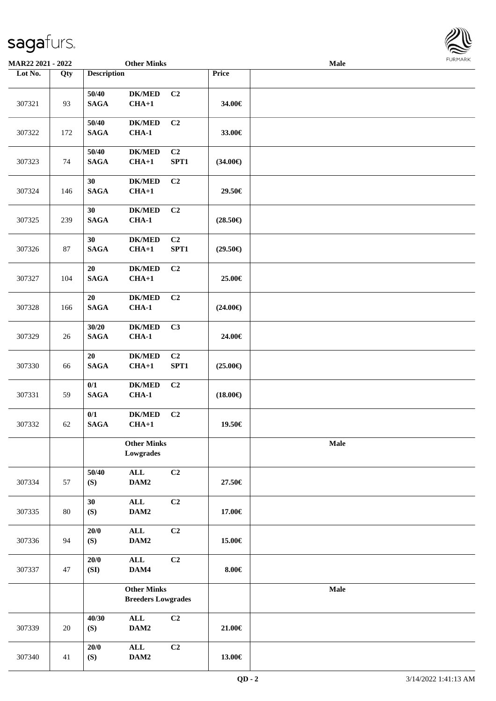| <b>MAR22 2021 - 2022</b> |     |                       | <b>Other Minks</b>                              |                |                   | <b>Male</b> |  |
|--------------------------|-----|-----------------------|-------------------------------------------------|----------------|-------------------|-------------|--|
| Lot No.                  | Qty | <b>Description</b>    |                                                 |                | Price             |             |  |
| 307321                   | 93  | 50/40<br><b>SAGA</b>  | <b>DK/MED</b><br>$CHA+1$                        | C <sub>2</sub> | 34.00€            |             |  |
| 307322                   | 172 | 50/40<br><b>SAGA</b>  | <b>DK/MED</b><br><b>CHA-1</b>                   | C <sub>2</sub> | 33.00€            |             |  |
| 307323                   | 74  | 50/40<br><b>SAGA</b>  | <b>DK/MED</b><br>$CHA+1$                        | C2<br>SPT1     | $(34.00\epsilon)$ |             |  |
| 307324                   | 146 | 30<br><b>SAGA</b>     | <b>DK/MED</b><br>$CHA+1$                        | C <sub>2</sub> | 29.50€            |             |  |
| 307325                   | 239 | 30<br><b>SAGA</b>     | <b>DK/MED</b><br>$CHA-1$                        | C2             | $(28.50\epsilon)$ |             |  |
| 307326                   | 87  | 30<br><b>SAGA</b>     | <b>DK/MED</b><br>$CHA+1$                        | C2<br>SPT1     | $(29.50\epsilon)$ |             |  |
| 307327                   | 104 | 20<br><b>SAGA</b>     | <b>DK/MED</b><br>$CHA+1$                        | C <sub>2</sub> | 25.00€            |             |  |
| 307328                   | 166 | 20<br><b>SAGA</b>     | <b>DK/MED</b><br>$CHA-1$                        | C2             | $(24.00\epsilon)$ |             |  |
| 307329                   | 26  | 30/20<br><b>SAGA</b>  | <b>DK/MED</b><br><b>CHA-1</b>                   | C3             | 24.00€            |             |  |
| 307330                   | 66  | 20<br>$\mathbf{SAGA}$ | <b>DK/MED</b><br>$CHA+1$                        | C2<br>SPT1     | $(25.00\epsilon)$ |             |  |
| 307331                   | 59  | 0/1<br><b>SAGA</b>    | <b>DK/MED</b><br>$CHA-1$                        | C <sub>2</sub> | $(18.00\epsilon)$ |             |  |
| 307332                   | 62  | 0/1<br><b>SAGA</b>    | <b>DK/MED</b><br>$CHA+1$                        | C2             | 19.50€            |             |  |
|                          |     |                       | <b>Other Minks</b><br>Lowgrades                 |                |                   | Male        |  |
| 307334                   | 57  | 50/40<br>(S)          | $\mathbf{ALL}$<br>DAM2                          | C2             | 27.50€            |             |  |
| 307335                   | 80  | 30<br>(S)             | $\mathbf{ALL}$<br>DAM2                          | C2             | 17.00€            |             |  |
| 307336                   | 94  | 20/0<br>(S)           | $\mathbf{ALL}$<br>DAM2                          | C2             | 15.00€            |             |  |
| 307337                   | 47  | 20/0<br>(SI)          | $\mathbf{ALL}$<br>DAM4                          | C2             | $8.00 \in$        |             |  |
|                          |     |                       | <b>Other Minks</b><br><b>Breeders Lowgrades</b> |                |                   | Male        |  |
| 307339                   | 20  | 40/30<br>(S)          | $\mathbf{ALL}$<br>DAM2                          | C2             | 21.00€            |             |  |
| 307340                   | 41  | 20/0<br>(S)           | $\mathbf{ALL}$<br>DAM2                          | C2             | 13.00€            |             |  |

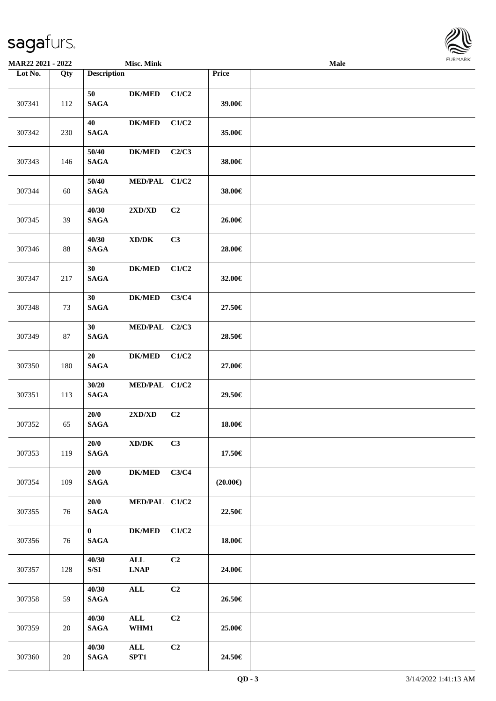

| <b>MAR22 2021 - 2022</b> |        |                                 | <b>Misc. Mink</b>                   |       |                   | <b>Male</b> |  |
|--------------------------|--------|---------------------------------|-------------------------------------|-------|-------------------|-------------|--|
| Lot No.                  | Qty    | <b>Description</b>              |                                     |       | Price             |             |  |
| 307341                   | 112    | 50<br><b>SAGA</b>               | <b>DK/MED</b>                       | C1/C2 | 39.00€            |             |  |
| 307342                   | 230    | 40<br><b>SAGA</b>               | <b>DK/MED</b>                       | C1/C2 | 35.00€            |             |  |
| 307343                   | 146    | 50/40<br><b>SAGA</b>            | <b>DK/MED</b>                       | C2/C3 | 38.00€            |             |  |
| 307344                   | 60     | 50/40<br><b>SAGA</b>            | MED/PAL C1/C2                       |       | 38.00€            |             |  |
| 307345                   | 39     | 40/30<br><b>SAGA</b>            | $2{\bf X}{\bf D}/{\bf X}{\bf D}$    | C2    | 26.00€            |             |  |
| 307346                   | $88\,$ | 40/30<br><b>SAGA</b>            | $\bold{X}\bold{D}/\bold{D}\bold{K}$ | C3    | 28.00€            |             |  |
| 307347                   | 217    | 30<br><b>SAGA</b>               | <b>DK/MED</b>                       | C1/C2 | 32.00€            |             |  |
| 307348                   | 73     | 30<br><b>SAGA</b>               | <b>DK/MED</b>                       | C3/C4 | 27.50€            |             |  |
| 307349                   | 87     | 30<br><b>SAGA</b>               | MED/PAL C2/C3                       |       | 28.50€            |             |  |
| 307350                   | 180    | 20<br><b>SAGA</b>               | <b>DK/MED</b>                       | C1/C2 | 27.00€            |             |  |
| 307351                   | 113    | 30/20<br><b>SAGA</b>            | MED/PAL C1/C2                       |       | 29.50€            |             |  |
| 307352                   | 65     | 20/0<br><b>SAGA</b>             | $2{\bf X}{\bf D}/{\bf X}{\bf D}$    | C2    | 18.00€            |             |  |
| 307353                   | 119    | 20/0<br><b>SAGA</b>             | XD/DK                               | C3    | 17.50€            |             |  |
| 307354                   | 109    | 20/0<br><b>SAGA</b>             | <b>DK/MED</b>                       | C3/C4 | $(20.00\epsilon)$ |             |  |
| 307355                   | 76     | 20/0<br><b>SAGA</b>             | MED/PAL C1/C2                       |       | 22.50€            |             |  |
| 307356                   | 76     | $\mathbf{0}$<br>$\mathbf{SAGA}$ | $DK/MED$                            | C1/C2 | 18.00€            |             |  |
| 307357                   | 128    | 40/30<br>S/SI                   | $\mathbf{ALL}$<br><b>LNAP</b>       | C2    | 24.00€            |             |  |
| 307358                   | 59     | 40/30<br><b>SAGA</b>            | $\mathbf{ALL}$                      | C2    | 26.50€            |             |  |
| 307359                   | 20     | 40/30<br><b>SAGA</b>            | $\mathbf{ALL}$<br>WHM1              | C2    | 25.00€            |             |  |
| 307360                   | $20\,$ | 40/30<br><b>SAGA</b>            | $\mathbf{ALL}$<br>SPT1              | C2    | 24.50€            |             |  |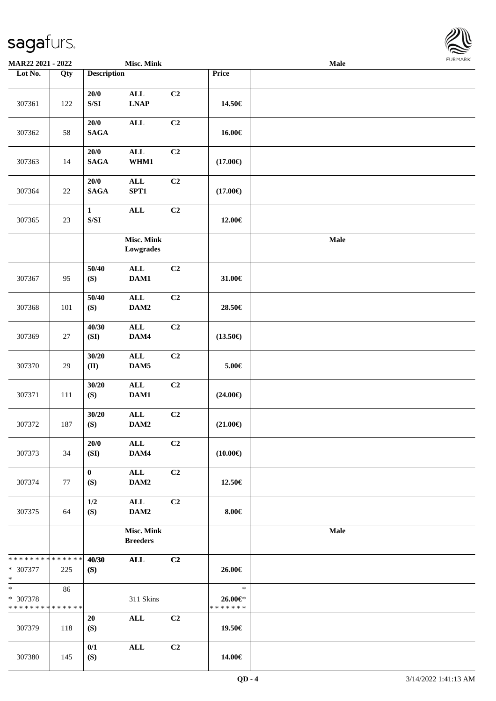

| MAR22 2021 - 2022                                 |        |                                                                                                        | <b>Misc. Mink</b>                              |                |                                    | Male |  |
|---------------------------------------------------|--------|--------------------------------------------------------------------------------------------------------|------------------------------------------------|----------------|------------------------------------|------|--|
| Lot No.                                           | Qty    | <b>Description</b>                                                                                     |                                                |                | Price                              |      |  |
| 307361                                            | 122    | 20/0<br>$\ensuremath{\mathrm{S}}\xspace/\ensuremath{\mathrm{S}}\xspace\ensuremath{\mathrm{I}}$         | $\mathbf{ALL}$<br>$\ensuremath{\text{L}N\!AP}$ | C <sub>2</sub> | 14.50€                             |      |  |
| 307362                                            | 58     | 20/0<br><b>SAGA</b>                                                                                    | <b>ALL</b>                                     | C2             | 16.00€                             |      |  |
| 307363                                            | 14     | $20/0$<br><b>SAGA</b>                                                                                  | <b>ALL</b><br>WHM1                             | C2             | $(17.00\epsilon)$                  |      |  |
| 307364                                            | $22\,$ | $20/0$<br><b>SAGA</b>                                                                                  | $\mathbf{ALL}$<br>SPT1                         | C <sub>2</sub> | $(17.00\epsilon)$                  |      |  |
| 307365                                            | $23\,$ | $\mathbf{1}$<br>$\ensuremath{\mathrm{S}}\xspace/\ensuremath{\mathrm{S}}\xspace\ensuremath{\mathrm{I}}$ | <b>ALL</b>                                     | C2             | 12.00€                             |      |  |
|                                                   |        |                                                                                                        | Misc. Mink<br>Lowgrades                        |                |                                    | Male |  |
| 307367                                            | 95     | 50/40<br>(S)                                                                                           | $\mathbf{ALL}$<br>DAM1                         | C <sub>2</sub> | 31.00 $\in$                        |      |  |
| 307368                                            | 101    | 50/40<br>(S)                                                                                           | $\mathbf{ALL}$<br>$\mathbf{DAM2}$              | C2             | 28.50€                             |      |  |
| 307369                                            | 27     | 40/30<br>(SI)                                                                                          | $\mathbf{ALL}$<br>DAM4                         | C2             | $(13.50\epsilon)$                  |      |  |
| 307370                                            | 29     | 30/20<br>(II)                                                                                          | $\mathbf{ALL}$<br>DAM5                         | C2             | $5.00\in$                          |      |  |
| 307371                                            | 111    | 30/20<br>(S)                                                                                           | $\mathbf{ALL}$<br>DAM1                         | C2             | $(24.00\epsilon)$                  |      |  |
| 307372                                            | 187    | 30/20<br>(S)                                                                                           | $\mathbf{ALL}$<br>DAM2                         | C2             | $(21.00\epsilon)$                  |      |  |
| 307373                                            | 34     | 20/0<br>(SI)                                                                                           | ALL<br>DAM4                                    | C2             | $(10.00\epsilon)$                  |      |  |
| 307374                                            | 77     | $\bf{0}$<br>(S)                                                                                        | $\mathbf{ALL}$<br>DAM2                         | C <sub>2</sub> | 12.50€                             |      |  |
| 307375                                            | 64     | 1/2<br>(S)                                                                                             | ALL<br>DAM2                                    | C2             | $8.00 \in$                         |      |  |
|                                                   |        |                                                                                                        | Misc. Mink<br><b>Breeders</b>                  |                |                                    | Male |  |
| * * * * * * * * * * * * * *<br>* 307377<br>$\ast$ | 225    | 40/30<br>(S)                                                                                           | <b>ALL</b>                                     | C2             | 26.00€                             |      |  |
| $\ast$<br>* 307378<br>* * * * * * * * * * * * * * | 86     |                                                                                                        | 311 Skins                                      |                | $\ast$<br>26.00€*<br>* * * * * * * |      |  |
| 307379                                            | 118    | 20<br>(S)                                                                                              | $\mathbf{ALL}$                                 | C2             | 19.50€                             |      |  |
| 307380                                            | 145    | 0/1<br>(S)                                                                                             | <b>ALL</b>                                     | C <sub>2</sub> | 14.00€                             |      |  |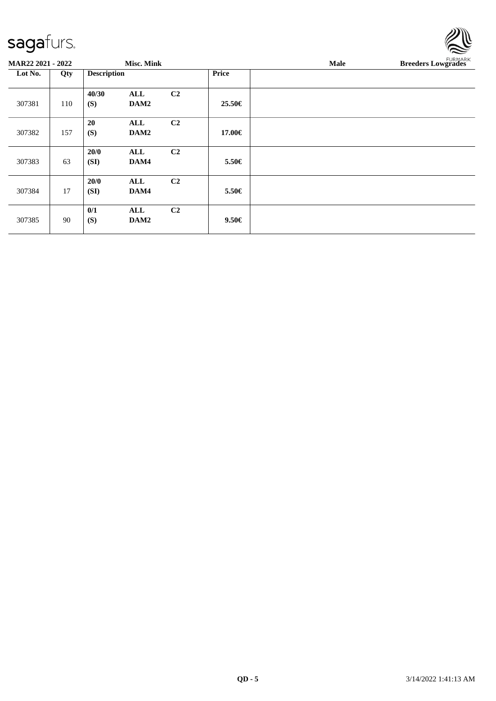|                          |     |                    |                   |                |              |             | $\tilde{}$                |
|--------------------------|-----|--------------------|-------------------|----------------|--------------|-------------|---------------------------|
| <b>MAR22 2021 - 2022</b> |     |                    | <b>Misc. Mink</b> |                |              | <b>Male</b> | <b>Breeders Lowgrades</b> |
| Lot No.                  | Qty | <b>Description</b> |                   |                | <b>Price</b> |             |                           |
|                          |     | 40/30              | ALL               | C2             |              |             |                           |
| 307381                   | 110 | (S)                | DAM2              |                | 25.50€       |             |                           |
|                          |     | 20                 | ALL               | C2             |              |             |                           |
| 307382                   | 157 | (S)                | DAM2              |                | 17.00€       |             |                           |
|                          |     | 20/0               | ALL               | C2             |              |             |                           |
| 307383                   | 63  | (SI)               | DAM4              |                | 5.50€        |             |                           |
|                          |     | 20/0               | ALL               | C <sub>2</sub> |              |             |                           |
| 307384                   | 17  | (SI)               | DAM4              |                | 5.50€        |             |                           |
|                          |     | 0/1                | ALL               | C2             |              |             |                           |
| 307385                   | 90  | (S)                | DAM2              |                | $9.50 \in$   |             |                           |
|                          |     |                    |                   |                |              |             |                           |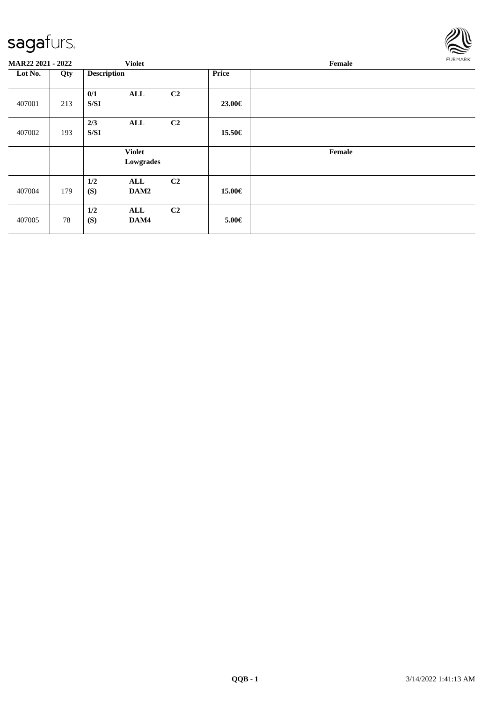

| MAR22 2021 - 2022 |     |                    | <b>Violet</b>              |                |            | FURMARK<br>Female |  |  |  |
|-------------------|-----|--------------------|----------------------------|----------------|------------|-------------------|--|--|--|
| Lot No.           | Qty | <b>Description</b> |                            |                | Price      |                   |  |  |  |
| 407001            | 213 | 0/1<br>S/SI        | ALL                        | C2             | 23.00€     |                   |  |  |  |
| 407002            | 193 | 2/3<br>S/SI        | ALL                        | C2             | 15.50€     |                   |  |  |  |
|                   |     |                    | <b>Violet</b><br>Lowgrades |                |            | Female            |  |  |  |
| 407004            | 179 | 1/2<br>(S)         | ALL<br>DAM2                | C <sub>2</sub> | 15.00€     |                   |  |  |  |
| 407005            | 78  | 1/2<br>(S)         | ALL<br>DAM4                | C <sub>2</sub> | $5.00 \in$ |                   |  |  |  |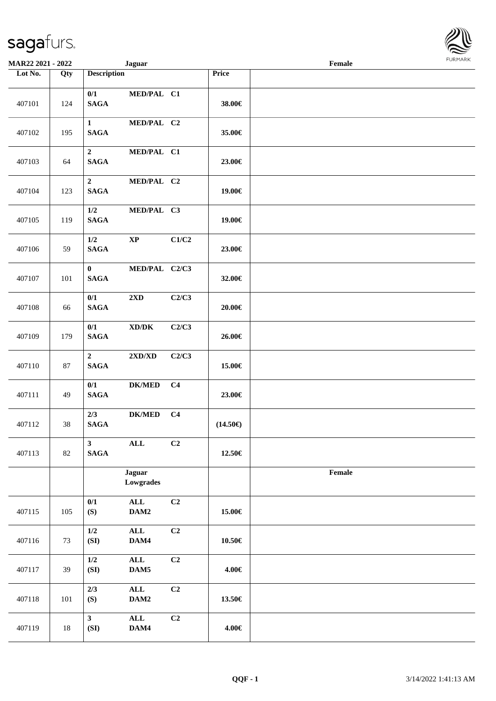| <b>MAR22 2021 - 2022</b> |     |                                        | <b>Jaguar</b>                       |                |                   | Female |  |
|--------------------------|-----|----------------------------------------|-------------------------------------|----------------|-------------------|--------|--|
| Lot No.                  | Qty | <b>Description</b>                     |                                     |                | Price             |        |  |
| 407101                   | 124 | 0/1<br><b>SAGA</b>                     | MED/PAL C1                          |                | 38.00€            |        |  |
| 407102                   | 195 | $\mathbf{1}$<br><b>SAGA</b>            | MED/PAL C2                          |                | 35.00€            |        |  |
| 407103                   | 64  | $\boldsymbol{2}$<br><b>SAGA</b>        | MED/PAL C1                          |                | 23.00€            |        |  |
| 407104                   | 123 | $\boldsymbol{2}$<br><b>SAGA</b>        | MED/PAL C2                          |                | 19.00€            |        |  |
| 407105                   | 119 | $1/2\,$<br><b>SAGA</b>                 | MED/PAL C3                          |                | 19.00€            |        |  |
| 407106                   | 59  | $1/2$<br>$\mathbf{SAGA}$               | $\mathbf{XP}$                       | C1/C2          | 23.00€            |        |  |
| 407107                   | 101 | $\mathbf{0}$<br><b>SAGA</b>            | MED/PAL C2/C3                       |                | 32.00€            |        |  |
| 407108                   | 66  | 0/1<br><b>SAGA</b>                     | $2{\bf X}{\bf D}$                   | C2/C3          | 20.00€            |        |  |
| 407109                   | 179 | 0/1<br><b>SAGA</b>                     | $\bold{X}\bold{D}/\bold{D}\bold{K}$ | C2/C3          | 26.00€            |        |  |
| 407110                   | 87  | $\overline{2}$<br><b>SAGA</b>          | $2{\bf X}{\bf D}/{\bf X}{\bf D}$    | C2/C3          | 15.00€            |        |  |
| 407111                   | 49  | 0/1<br><b>SAGA</b>                     | $DK/MED$                            | C <sub>4</sub> | 23.00€            |        |  |
| 407112                   | 38  | 2/3<br>$\mathbf{SAGA}$                 | <b>DK/MED</b>                       | C <sub>4</sub> | $(14.50\epsilon)$ |        |  |
| 407113                   | 82  | $\overline{\mathbf{3}}$<br><b>SAGA</b> | $\mathbf{ALL}$                      | C <sub>2</sub> | 12.50€            |        |  |
|                          |     |                                        | <b>Jaguar</b><br>Lowgrades          |                |                   | Female |  |
| 407115                   | 105 | 0/1<br>(S)                             | $\mathbf{ALL}$<br>DAM2              | C <sub>2</sub> | 15.00€            |        |  |
| 407116                   | 73  | $1/2$<br>(SI)                          | $\mathbf{ALL}$<br>DAM4              | C2             | $10.50\in$        |        |  |
| 407117                   | 39  | $1/2$<br>(SI)                          | $\mathbf{ALL}$<br>DAM5              | C <sub>2</sub> | 4.00€             |        |  |
| 407118                   | 101 | 2/3<br>(S)                             | $\mathbf{ALL}$<br>DAM2              | C <sub>2</sub> | 13.50€            |        |  |
| 407119                   | 18  | $\overline{\mathbf{3}}$<br>(SI)        | $\mathbf{ALL}$<br>DAM4              | C <sub>2</sub> | 4.00€             |        |  |

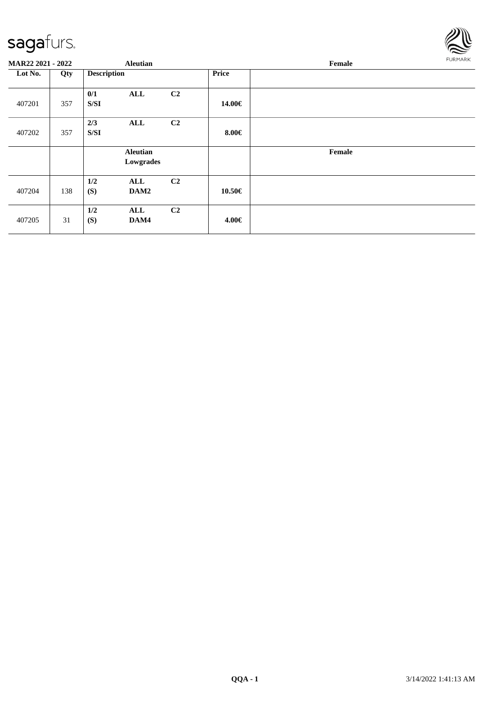

| MAR22 2021 - 2022 |     |                    | <b>Aleutian</b>              |                |            | Female |  |  |  |  |
|-------------------|-----|--------------------|------------------------------|----------------|------------|--------|--|--|--|--|
| Lot No.           | Qty | <b>Description</b> |                              |                | Price      |        |  |  |  |  |
| 407201            | 357 | 0/1<br>S/SI        | ALL                          | C <sub>2</sub> | 14.00€     |        |  |  |  |  |
| 407202            | 357 | 2/3<br>S/SI        | ALL                          | C <sub>2</sub> | $8.00 \in$ |        |  |  |  |  |
|                   |     |                    | <b>Aleutian</b><br>Lowgrades |                |            | Female |  |  |  |  |
| 407204            | 138 | 1/2<br>(S)         | ALL<br>DAM2                  | C <sub>2</sub> | 10.50€     |        |  |  |  |  |
| 407205            | 31  | 1/2<br>(S)         | ALL<br>DAM4                  | C2             | 4.00€      |        |  |  |  |  |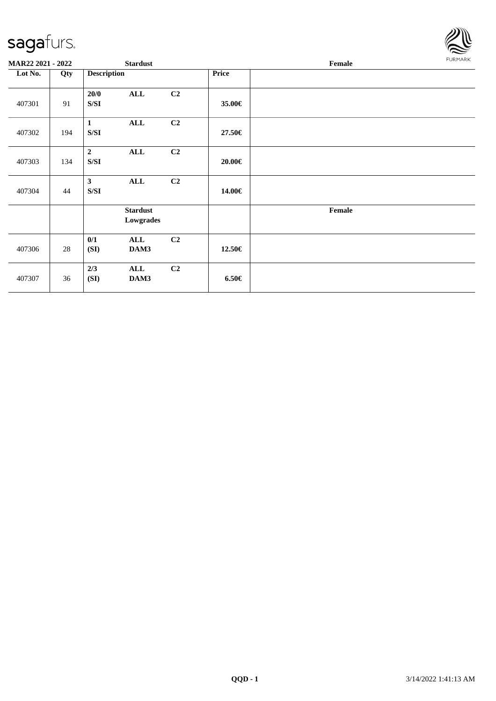

| MAR22 2021 - 2022 |     | <b>Stardust</b>                                                                                        |                              |    | FURMARK<br>Female |        |  |
|-------------------|-----|--------------------------------------------------------------------------------------------------------|------------------------------|----|-------------------|--------|--|
| Lot No.           | Qty | <b>Description</b>                                                                                     |                              |    | Price             |        |  |
| 407301            | 91  | 20/0<br>${\bf S/SI}$                                                                                   | <b>ALL</b>                   | C2 | 35.00€            |        |  |
| 407302            | 194 | $\mathbf{1}$<br>S/SI                                                                                   | <b>ALL</b>                   | C2 | 27.50€            |        |  |
| 407303            | 134 | $\overline{2}$<br>${\bf S/SI}$                                                                         | <b>ALL</b>                   | C2 | 20.00€            |        |  |
| 407304            | 44  | $\mathbf{3}$<br>$\ensuremath{\mathrm{S}}\xspace/\ensuremath{\mathrm{S}}\xspace\ensuremath{\mathrm{I}}$ | <b>ALL</b>                   | C2 | 14.00€            |        |  |
|                   |     |                                                                                                        | <b>Stardust</b><br>Lowgrades |    |                   | Female |  |
| 407306            | 28  | 0/1<br>(SI)                                                                                            | <b>ALL</b><br>DAM3           | C2 | 12.50€            |        |  |
| 407307            | 36  | 2/3<br>(SI)                                                                                            | ALL<br>DAM3                  | C2 | $6.50 \in$        |        |  |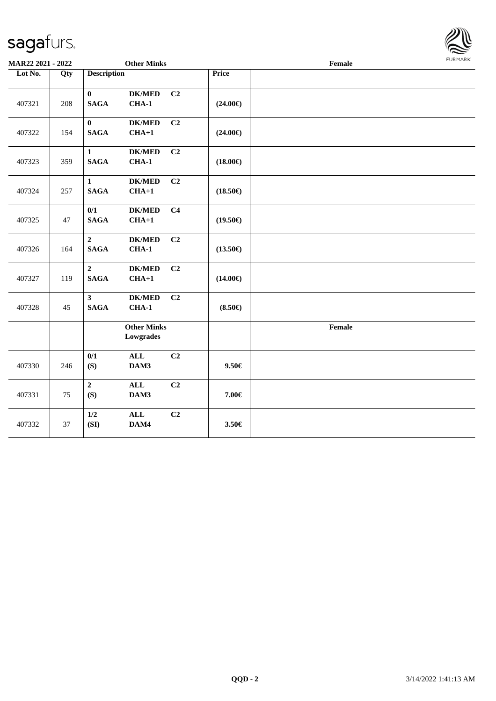#### sagafur

407331 75

407332 37

**2 ALL C2**

**1/2 ALL C2**

**(S) DAM3 7.00€**

**(SI) DAM4 3.50€**

| sagaturs.         |        |                               |                                            |                   | حلا<br>$\mathbb Z$ |                |
|-------------------|--------|-------------------------------|--------------------------------------------|-------------------|--------------------|----------------|
| MAR22 2021 - 2022 |        |                               | <b>Other Minks</b>                         |                   | Female             | <b>FURMARK</b> |
| Lot No.<br>407321 | Qty    | <b>Description</b>            |                                            | <b>Price</b>      |                    |                |
|                   | 208    | $\bf{0}$<br><b>SAGA</b>       | <b>DK/MED</b><br>C <sub>2</sub><br>$CHA-1$ | $(24.00\epsilon)$ |                    |                |
| 407322            | 154    | $\bf{0}$<br><b>SAGA</b>       | <b>DK/MED</b><br>C <sub>2</sub><br>$CHA+1$ | $(24.00\epsilon)$ |                    |                |
| 407323            | 359    | 1<br><b>SAGA</b>              | C <sub>2</sub><br><b>DK/MED</b><br>$CHA-1$ | $(18.00\epsilon)$ |                    |                |
| 407324            | 257    | $\mathbf{1}$<br><b>SAGA</b>   | <b>DK/MED</b><br>C <sub>2</sub><br>$CHA+1$ | $(18.50\epsilon)$ |                    |                |
| 407325            | $47\,$ | 0/1<br><b>SAGA</b>            | C <sub>4</sub><br><b>DK/MED</b><br>$CHA+1$ | $(19.50\epsilon)$ |                    |                |
| 407326            | 164    | $\overline{2}$<br><b>SAGA</b> | C2<br><b>DK/MED</b><br><b>CHA-1</b>        | $(13.50\epsilon)$ |                    |                |
| 407327            | 119    | $\overline{2}$<br><b>SAGA</b> | <b>DK/MED</b><br>C <sub>2</sub><br>$CHA+1$ | $(14.00\epsilon)$ |                    |                |
| 407328            | 45     | $\mathbf{3}$<br><b>SAGA</b>   | <b>DK/MED</b><br>C <sub>2</sub><br>CHA-1   | $(8.50\epsilon)$  |                    |                |
|                   |        |                               | <b>Other Minks</b><br>Lowgrades            |                   | Female             |                |
| 407330            | 246    | 0/1<br>(S)                    | C2<br>$\mathbf{ALL}$<br>DAM3               | $9.50 \in$        |                    |                |

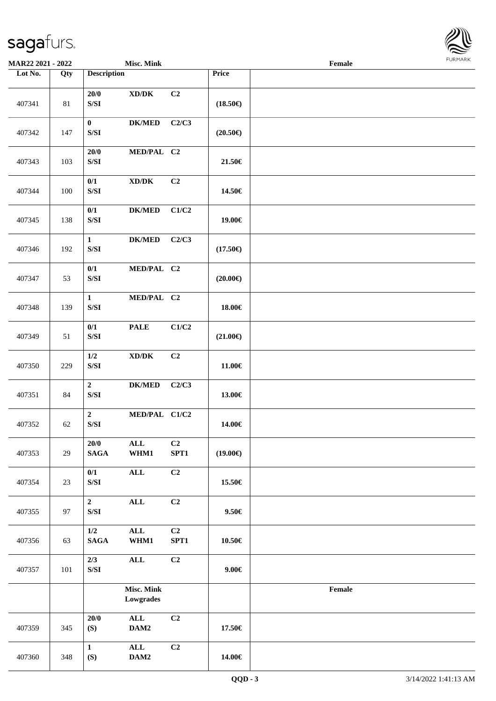

| <b>MAR22 2021 - 2022</b> |        |                                                                                                            | <b>Misc. Mink</b>                   |            |                   | Female |  |
|--------------------------|--------|------------------------------------------------------------------------------------------------------------|-------------------------------------|------------|-------------------|--------|--|
| Lot No.                  | Qty    | <b>Description</b>                                                                                         |                                     |            | Price             |        |  |
| 407341                   | $81\,$ | 20/0<br>$\ensuremath{\mathrm{S}}\xspace/\ensuremath{\mathrm{S}}\xspace\ensuremath{\mathrm{I}}$             | $\bold{X}\bold{D}/\bold{D}\bold{K}$ | C2         | $(18.50\epsilon)$ |        |  |
| 407342                   | 147    | $\bf{0}$<br>$\ensuremath{\mathrm{S}}\xspace/\ensuremath{\mathrm{S}}\xspace\ensuremath{\mathrm{I}}$         | <b>DK/MED</b>                       | C2/C3      | $(20.50\epsilon)$ |        |  |
| 407343                   | 103    | 20/0<br>$\ensuremath{\mathrm{S}}\xspace/\ensuremath{\mathrm{S}}\xspace\ensuremath{\mathrm{I}}$             | MED/PAL C2                          |            | 21.50€            |        |  |
| 407344                   | 100    | 0/1<br>$\ensuremath{\mathrm{S}}\xspace/\ensuremath{\mathrm{S}}\xspace\ensuremath{\mathrm{I}}$              | $\bold{X}\bold{D}/\bold{D}\bold{K}$ | C2         | 14.50€            |        |  |
| 407345                   | 138    | 0/1<br>$\ensuremath{\mathrm{S}}\xspace/\ensuremath{\mathrm{S}}\xspace\ensuremath{\mathrm{I}}$              | <b>DK/MED</b>                       | C1/C2      | 19.00€            |        |  |
| 407346                   | 192    | $\mathbf{1}$<br>$\ensuremath{\mathrm{S}}\xspace/\ensuremath{\mathrm{S}}\xspace\ensuremath{\mathrm{I}}$     | <b>DK/MED</b>                       | C2/C3      | $(17.50\epsilon)$ |        |  |
| 407347                   | 53     | 0/1<br>$\ensuremath{\mathrm{S}}\xspace/\ensuremath{\mathrm{S}}\xspace\ensuremath{\mathrm{I}}$              | MED/PAL C2                          |            | $(20.00\epsilon)$ |        |  |
| 407348                   | 139    | $\mathbf{1}$<br>$\ensuremath{\mathrm{S}}\xspace/\ensuremath{\mathrm{S}}\xspace\ensuremath{\mathrm{I}}$     | MED/PAL C2                          |            | 18.00€            |        |  |
| 407349                   | 51     | 0/1<br>$\ensuremath{\mathrm{S}}\xspace/\ensuremath{\mathrm{S}}\xspace\ensuremath{\mathrm{I}}$              | <b>PALE</b>                         | C1/C2      | $(21.00\epsilon)$ |        |  |
| 407350                   | 229    | $1/2$<br>$\ensuremath{\mathrm{S}}\xspace/\ensuremath{\mathrm{S}}\xspace\ensuremath{\mathrm{I}}$            | $\bold{X}\bold{D}/\bold{D}\bold{K}$ | C2         | 11.00€            |        |  |
| 407351                   | 84     | $\boldsymbol{2}$<br>$\ensuremath{\mathrm{S}}\xspace/\ensuremath{\mathrm{S}}\xspace\ensuremath{\mathrm{I}}$ | <b>DK/MED</b>                       | C2/C3      | 13.00€            |        |  |
| 407352                   | 62     | $\overline{2}$<br>$\ensuremath{\mathrm{S}}\xspace/\ensuremath{\mathrm{S}}\xspace\ensuremath{\mathrm{I}}$   | MED/PAL C1/C2                       |            | 14.00€            |        |  |
| 407353                   | 29     | 20/0<br><b>SAGA</b>                                                                                        | $\mathbf{ALL}$<br>WHM1              | C2<br>SPT1 | $(19.00\epsilon)$ |        |  |
| 407354                   | 23     | 0/1<br>$\ensuremath{\mathrm{S}}\xspace/\ensuremath{\mathrm{S}}\xspace\ensuremath{\mathrm{I}}$              | $\mathbf{ALL}$                      | C2         | 15.50€            |        |  |
| 407355                   | 97     | $\mathbf 2$<br>$\ensuremath{\mathrm{S}}\xspace/\ensuremath{\mathrm{S}}\xspace\ensuremath{\mathrm{I}}$      | $\mathbf{ALL}$                      | C2         | $9.50 \in$        |        |  |
| 407356                   | 63     | $1/2$<br>$\mathbf{SAGA}$                                                                                   | $\mathbf{ALL}$<br>WHM1              | C2<br>SPT1 | $10.50\in$        |        |  |
| 407357                   | 101    | 2/3<br>$\ensuremath{\mathrm{S}}\xspace/\ensuremath{\mathrm{S}}\xspace\ensuremath{\mathrm{I}}$              | $\mathbf{ALL}$                      | C2         | $9.00 \in$        |        |  |
|                          |        |                                                                                                            | <b>Misc. Mink</b><br>Lowgrades      |            |                   | Female |  |
| 407359                   | 345    | 20/0<br>(S)                                                                                                | ALL<br>DAM2                         | C2         | 17.50€            |        |  |
| 407360                   | 348    | $\mathbf{1}$<br>(S)                                                                                        | $\mathbf{ALL}$<br>$\mathbf{DAM2}$   | C2         | 14.00€            |        |  |